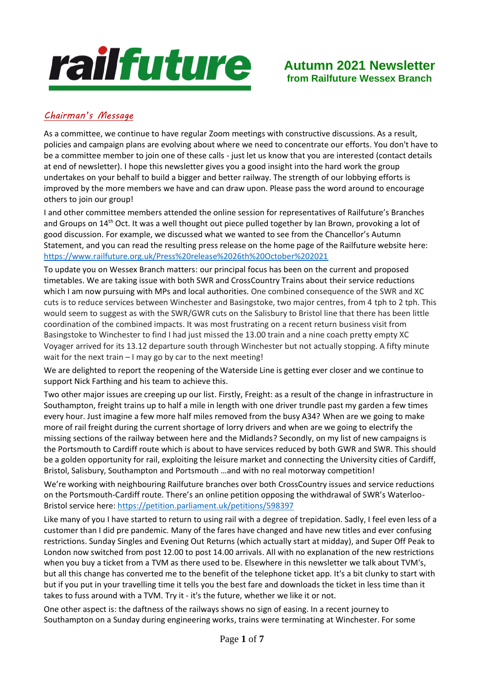# railfuture

# **Autumn 2021 Newsletter from Railfuture Wessex Branch**

# *Chairman's Message*

As a committee, we continue to have regular Zoom meetings with constructive discussions. As a result, policies and campaign plans are evolving about where we need to concentrate our efforts. You don't have to be a committee member to join one of these calls - just let us know that you are interested (contact details at end of newsletter). I hope this newsletter gives you a good insight into the hard work the group undertakes on your behalf to build a bigger and better railway. The strength of our lobbying efforts is improved by the more members we have and can draw upon. Please pass the word around to encourage others to join our group!

I and other committee members attended the online session for representatives of Railfuture's Branches and Groups on 14<sup>th</sup> Oct. It was a well thought out piece pulled together by Ian Brown, provoking a lot of good discussion. For example, we discussed what we wanted to see from the Chancellor's Autumn Statement, and you can read the resulting press release on the home page of the Railfuture website here: <https://www.railfuture.org.uk/Press%20release%2026th%20October%202021>

To update you on Wessex Branch matters: our principal focus has been on the current and proposed timetables. We are taking issue with both SWR and CrossCountry Trains about their service reductions which I am now pursuing with MPs and local authorities. One combined consequence of the SWR and XC cuts is to reduce services between Winchester and Basingstoke, two major centres, from 4 tph to 2 tph. This would seem to suggest as with the SWR/GWR cuts on the Salisbury to Bristol line that there has been little coordination of the combined impacts. It was most frustrating on a recent return business visit from Basingstoke to Winchester to find I had just missed the 13.00 train and a nine coach pretty empty XC Voyager arrived for its 13.12 departure south through Winchester but not actually stopping. A fifty minute wait for the next train – I may go by car to the next meeting!

We are delighted to report the reopening of the Waterside Line is getting ever closer and we continue to support Nick Farthing and his team to achieve this.

Two other major issues are creeping up our list. Firstly, Freight: as a result of the change in infrastructure in Southampton, freight trains up to half a mile in length with one driver trundle past my garden a few times every hour. Just imagine a few more half miles removed from the busy A34? When are we going to make more of rail freight during the current shortage of lorry drivers and when are we going to electrify the missing sections of the railway between here and the Midlands? Secondly, on my list of new campaigns is the Portsmouth to Cardiff route which is about to have services reduced by both GWR and SWR. This should be a golden opportunity for rail, exploiting the leisure market and connecting the University cities of Cardiff, Bristol, Salisbury, Southampton and Portsmouth …and with no real motorway competition!

We're working with neighbouring Railfuture branches over both CrossCountry issues and service reductions on the Portsmouth-Cardiff route. There's an online petition opposing the withdrawal of SWR's Waterloo-Bristol service here:<https://petition.parliament.uk/petitions/598397>

Like many of you I have started to return to using rail with a degree of trepidation. Sadly, I feel even less of a customer than I did pre pandemic. Many of the fares have changed and have new titles and ever confusing restrictions. Sunday Singles and Evening Out Returns (which actually start at midday), and Super Off Peak to London now switched from post 12.00 to post 14.00 arrivals. All with no explanation of the new restrictions when you buy a ticket from a TVM as there used to be. Elsewhere in this newsletter we talk about TVM's, but all this change has converted me to the benefit of the telephone ticket app. It's a bit clunky to start with but if you put in your travelling time it tells you the best fare and downloads the ticket in less time than it takes to fuss around with a TVM. Try it - it's the future, whether we like it or not.

One other aspect is: the daftness of the railways shows no sign of easing. In a recent journey to Southampton on a Sunday during engineering works, trains were terminating at Winchester. For some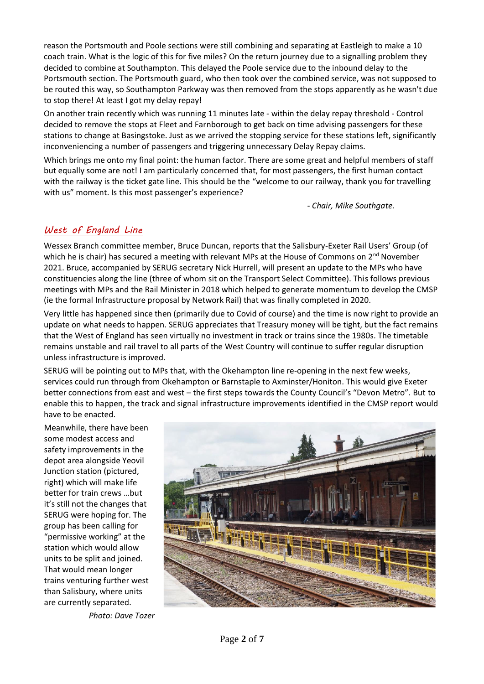reason the Portsmouth and Poole sections were still combining and separating at Eastleigh to make a 10 coach train. What is the logic of this for five miles? On the return journey due to a signalling problem they decided to combine at Southampton. This delayed the Poole service due to the inbound delay to the Portsmouth section. The Portsmouth guard, who then took over the combined service, was not supposed to be routed this way, so Southampton Parkway was then removed from the stops apparently as he wasn't due to stop there! At least I got my delay repay!

On another train recently which was running 11 minutes late - within the delay repay threshold - Control decided to remove the stops at Fleet and Farnborough to get back on time advising passengers for these stations to change at Basingstoke. Just as we arrived the stopping service for these stations left, significantly inconveniencing a number of passengers and triggering unnecessary Delay Repay claims.

Which brings me onto my final point: the human factor. There are some great and helpful members of staff but equally some are not! I am particularly concerned that, for most passengers, the first human contact with the railway is the ticket gate line. This should be the "welcome to our railway, thank you for travelling with us" moment. Is this most passenger's experience?

- *Chair, Mike Southgate.*

### *West of England Line*

Wessex Branch committee member, Bruce Duncan, reports that the Salisbury-Exeter Rail Users' Group (of which he is chair) has secured a meeting with relevant MPs at the House of Commons on  $2^{nd}$  November 2021. Bruce, accompanied by SERUG secretary Nick Hurrell, will present an update to the MPs who have constituencies along the line (three of whom sit on the Transport Select Committee). This follows previous meetings with MPs and the Rail Minister in 2018 which helped to generate momentum to develop the CMSP (ie the formal Infrastructure proposal by Network Rail) that was finally completed in 2020.

Very little has happened since then (primarily due to Covid of course) and the time is now right to provide an update on what needs to happen. SERUG appreciates that Treasury money will be tight, but the fact remains that the West of England has seen virtually no investment in track or trains since the 1980s. The timetable remains unstable and rail travel to all parts of the West Country will continue to suffer regular disruption unless infrastructure is improved.

SERUG will be pointing out to MPs that, with the Okehampton line re-opening in the next few weeks, services could run through from Okehampton or Barnstaple to Axminster/Honiton. This would give Exeter better connections from east and west – the first steps towards the County Council's "Devon Metro". But to enable this to happen, the track and signal infrastructure improvements identified in the CMSP report would have to be enacted.

Meanwhile, there have been some modest access and safety improvements in the depot area alongside Yeovil Junction station (pictured, right) which will make life better for train crews …but it's still not the changes that SERUG were hoping for. The group has been calling for "permissive working" at the station which would allow units to be split and joined. That would mean longer trains venturing further west than Salisbury, where units are currently separated.

*Photo: Dave Tozer*

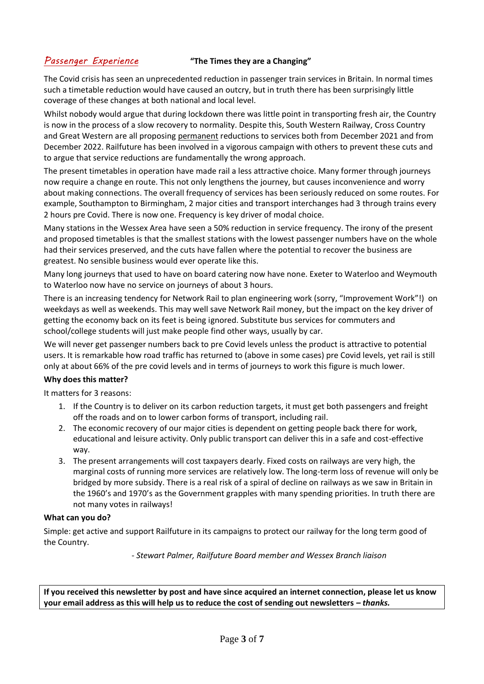#### *Passenger Experience* **"The Times they are a Changing"**

The Covid crisis has seen an unprecedented reduction in passenger train services in Britain. In normal times such a timetable reduction would have caused an outcry, but in truth there has been surprisingly little coverage of these changes at both national and local level.

Whilst nobody would argue that during lockdown there was little point in transporting fresh air, the Country is now in the process of a slow recovery to normality. Despite this, South Western Railway, Cross Country and Great Western are all proposing permanent reductions to services both from December 2021 and from December 2022. Railfuture has been involved in a vigorous campaign with others to prevent these cuts and to argue that service reductions are fundamentally the wrong approach.

The present timetables in operation have made rail a less attractive choice. Many former through journeys now require a change en route. This not only lengthens the journey, but causes inconvenience and worry about making connections. The overall frequency of services has been seriously reduced on some routes. For example, Southampton to Birmingham, 2 major cities and transport interchanges had 3 through trains every 2 hours pre Covid. There is now one. Frequency is key driver of modal choice.

Many stations in the Wessex Area have seen a 50% reduction in service frequency. The irony of the present and proposed timetables is that the smallest stations with the lowest passenger numbers have on the whole had their services preserved, and the cuts have fallen where the potential to recover the business are greatest. No sensible business would ever operate like this.

Many long journeys that used to have on board catering now have none. Exeter to Waterloo and Weymouth to Waterloo now have no service on journeys of about 3 hours.

There is an increasing tendency for Network Rail to plan engineering work (sorry, "Improvement Work"!) on weekdays as well as weekends. This may well save Network Rail money, but the impact on the key driver of getting the economy back on its feet is being ignored. Substitute bus services for commuters and school/college students will just make people find other ways, usually by car.

We will never get passenger numbers back to pre Covid levels unless the product is attractive to potential users. It is remarkable how road traffic has returned to (above in some cases) pre Covid levels, yet rail is still only at about 66% of the pre covid levels and in terms of journeys to work this figure is much lower.

#### **Why does this matter?**

It matters for 3 reasons:

- 1. If the Country is to deliver on its carbon reduction targets, it must get both passengers and freight off the roads and on to lower carbon forms of transport, including rail.
- 2. The economic recovery of our major cities is dependent on getting people back there for work, educational and leisure activity. Only public transport can deliver this in a safe and cost-effective way.
- 3. The present arrangements will cost taxpayers dearly. Fixed costs on railways are very high, the marginal costs of running more services are relatively low. The long-term loss of revenue will only be bridged by more subsidy. There is a real risk of a spiral of decline on railways as we saw in Britain in the 1960's and 1970's as the Government grapples with many spending priorities. In truth there are not many votes in railways!

#### **What can you do?**

Simple: get active and support Railfuture in its campaigns to protect our railway for the long term good of the Country.

- *Stewart Palmer, Railfuture Board member and Wessex Branch liaison*

**If you received this newsletter by post and have since acquired an internet connection, please let us know**  your email address as this will help us to reduce the cost of sending out newsletters *– thanks.*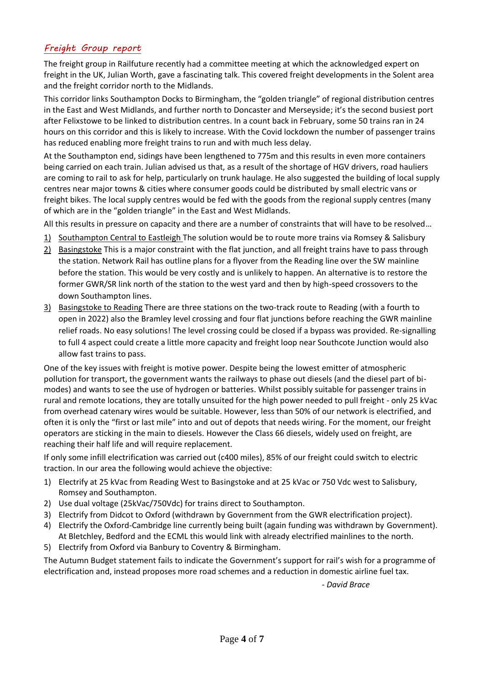### *Freight Group report*

The freight group in Railfuture recently had a committee meeting at which the acknowledged expert on freight in the UK, Julian Worth, gave a fascinating talk. This covered freight developments in the Solent area and the freight corridor north to the Midlands.

This corridor links Southampton Docks to Birmingham, the "golden triangle" of regional distribution centres in the East and West Midlands, and further north to Doncaster and Merseyside; it's the second busiest port after Felixstowe to be linked to distribution centres. In a count back in February, some 50 trains ran in 24 hours on this corridor and this is likely to increase. With the Covid lockdown the number of passenger trains has reduced enabling more freight trains to run and with much less delay.

At the Southampton end, sidings have been lengthened to 775m and this results in even more containers being carried on each train. Julian advised us that, as a result of the shortage of HGV drivers, road hauliers are coming to rail to ask for help, particularly on trunk haulage. He also suggested the building of local supply centres near major towns & cities where consumer goods could be distributed by small electric vans or freight bikes. The local supply centres would be fed with the goods from the regional supply centres (many of which are in the "golden triangle" in the East and West Midlands.

All this results in pressure on capacity and there are a number of constraints that will have to be resolved…

- 1) Southampton Central to Eastleigh The solution would be to route more trains via Romsey & Salisbury
- 2) Basingstoke This is a major constraint with the flat junction, and all freight trains have to pass through the station. Network Rail has outline plans for a flyover from the Reading line over the SW mainline before the station. This would be very costly and is unlikely to happen. An alternative is to restore the former GWR/SR link north of the station to the west yard and then by high-speed crossovers to the down Southampton lines.
- 3) Basingstoke to Reading There are three stations on the two-track route to Reading (with a fourth to open in 2022) also the Bramley level crossing and four flat junctions before reaching the GWR mainline relief roads. No easy solutions! The level crossing could be closed if a bypass was provided. Re-signalling to full 4 aspect could create a little more capacity and freight loop near Southcote Junction would also allow fast trains to pass.

One of the key issues with freight is motive power. Despite being the lowest emitter of atmospheric pollution for transport, the government wants the railways to phase out diesels (and the diesel part of bimodes) and wants to see the use of hydrogen or batteries. Whilst possibly suitable for passenger trains in rural and remote locations, they are totally unsuited for the high power needed to pull freight - only 25 kVac from overhead catenary wires would be suitable. However, less than 50% of our network is electrified, and often it is only the "first or last mile" into and out of depots that needs wiring. For the moment, our freight operators are sticking in the main to diesels. However the Class 66 diesels, widely used on freight, are reaching their half life and will require replacement.

If only some infill electrification was carried out (c400 miles), 85% of our freight could switch to electric traction. In our area the following would achieve the objective:

- 1) Electrify at 25 kVac from Reading West to Basingstoke and at 25 kVac or 750 Vdc west to Salisbury, Romsey and Southampton.
- 2) Use dual voltage (25kVac/750Vdc) for trains direct to Southampton.
- 3) Electrify from Didcot to Oxford (withdrawn by Government from the GWR electrification project).
- 4) Electrify the Oxford-Cambridge line currently being built (again funding was withdrawn by Government). At Bletchley, Bedford and the ECML this would link with already electrified mainlines to the north.
- 5) Electrify from Oxford via Banbury to Coventry & Birmingham.

The Autumn Budget statement fails to indicate the Government's support for rail's wish for a programme of electrification and, instead proposes more road schemes and a reduction in domestic airline fuel tax.

*- David Brace*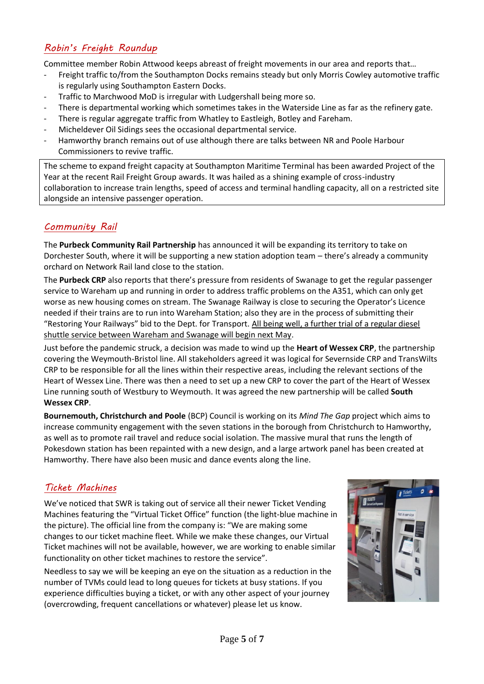# *Robin's Freight Roundup*

Committee member Robin Attwood keeps abreast of freight movements in our area and reports that…

- Freight traffic to/from the Southampton Docks remains steady but only Morris Cowley automotive traffic is regularly using Southampton Eastern Docks.
- Traffic to Marchwood MoD is irregular with Ludgershall being more so.
- There is departmental working which sometimes takes in the Waterside Line as far as the refinery gate.
- There is regular aggregate traffic from Whatley to Eastleigh, Botley and Fareham.
- Micheldever Oil Sidings sees the occasional departmental service.
- Hamworthy branch remains out of use although there are talks between NR and Poole Harbour Commissioners to revive traffic.

The scheme to expand freight capacity at Southampton Maritime Terminal has been awarded Project of the Year at the recent Rail Freight Group awards. It was hailed as a shining example of cross-industry collaboration to increase train lengths, speed of access and terminal handling capacity, all on a restricted site alongside an intensive passenger operation.

### *Community Rail*

The **Purbeck Community Rail Partnership** has announced it will be expanding its territory to take on Dorchester South, where it will be supporting a new station adoption team – there's already a community orchard on Network Rail land close to the station.

The **Purbeck CRP** also reports that there's pressure from residents of Swanage to get the regular passenger service to Wareham up and running in order to address traffic problems on the A351, which can only get worse as new housing comes on stream. The Swanage Railway is close to securing the Operator's Licence needed if their trains are to run into Wareham Station; also they are in the process of submitting their "Restoring Your Railways" bid to the Dept. for Transport. All being well, a further trial of a regular diesel shuttle service between Wareham and Swanage will begin next May.

Just before the pandemic struck, a decision was made to wind up the **Heart of Wessex CRP**, the partnership covering the Weymouth-Bristol line. All stakeholders agreed it was logical for Severnside CRP and TransWilts CRP to be responsible for all the lines within their respective areas, including the relevant sections of the Heart of Wessex Line. There was then a need to set up a new CRP to cover the part of the Heart of Wessex Line running south of Westbury to Weymouth. It was agreed the new partnership will be called **South Wessex CRP**.

**Bournemouth, Christchurch and Poole** (BCP) Council is working on its *Mind The Gap* project which aims to increase community engagement with the seven stations in the borough from Christchurch to Hamworthy, as well as to promote rail travel and reduce social isolation. The massive mural that runs the length of Pokesdown station has been repainted with a new design, and a large artwork panel has been created at Hamworthy. There have also been music and dance events along the line.

#### *Ticket Machines*

We've noticed that SWR is taking out of service all their newer Ticket Vending Machines featuring the "Virtual Ticket Office" function (the light-blue machine in the picture). The official line from the company is: "We are making some changes to our ticket machine fleet. While we make these changes, our Virtual Ticket machines will not be available, however, we are working to enable similar functionality on other ticket machines to restore the service".

Needless to say we will be keeping an eye on the situation as a reduction in the number of TVMs could lead to long queues for tickets at busy stations. If you experience difficulties buying a ticket, or with any other aspect of your journey (overcrowding, frequent cancellations or whatever) please let us know.

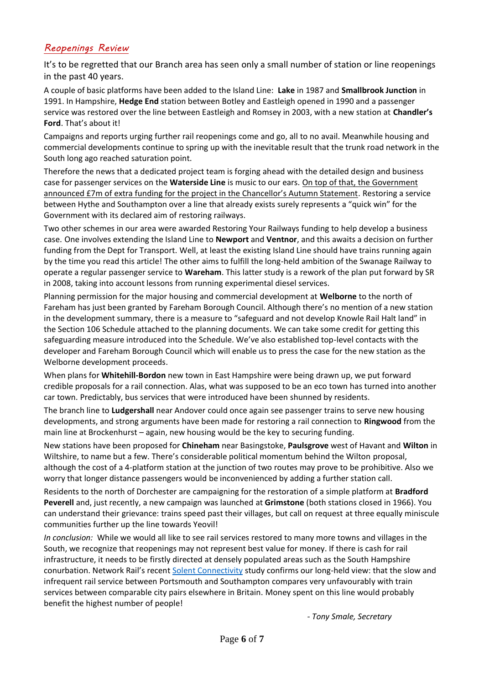## *Reopenings Review*

It's to be regretted that our Branch area has seen only a small number of station or line reopenings in the past 40 years.

A couple of basic platforms have been added to the Island Line: **Lake** in 1987 and **Smallbrook Junction** in 1991. In Hampshire, **Hedge End** station between Botley and Eastleigh opened in 1990 and a passenger service was restored over the line between Eastleigh and Romsey in 2003, with a new station at **Chandler's Ford**. That's about it!

Campaigns and reports urging further rail reopenings come and go, all to no avail. Meanwhile housing and commercial developments continue to spring up with the inevitable result that the trunk road network in the South long ago reached saturation point.

Therefore the news that a dedicated project team is forging ahead with the detailed design and business case for passenger services on the **Waterside Line** is music to our ears. On top of that, the Government announced £7m of extra funding for the project in the Chancellor's Autumn Statement. Restoring a service between Hythe and Southampton over a line that already exists surely represents a "quick win" for the Government with its declared aim of restoring railways.

Two other schemes in our area were awarded Restoring Your Railways funding to help develop a business case. One involves extending the Island Line to **Newport** and **Ventnor**, and this awaits a decision on further funding from the Dept for Transport. Well, at least the existing Island Line should have trains running again by the time you read this article! The other aims to fulfill the long-held ambition of the Swanage Railway to operate a regular passenger service to **Wareham**. This latter study is a rework of the plan put forward by SR in 2008, taking into account lessons from running experimental diesel services.

Planning permission for the major housing and commercial development at **Welborne** to the north of Fareham has just been granted by Fareham Borough Council. Although there's no mention of a new station in the development summary, there is a measure to "safeguard and not develop Knowle Rail Halt land" in the Section 106 Schedule attached to the planning documents. We can take some credit for getting this safeguarding measure introduced into the Schedule. We've also established top-level contacts with the developer and Fareham Borough Council which will enable us to press the case for the new station as the Welborne development proceeds.

When plans for **Whitehill-Bordon** new town in East Hampshire were being drawn up, we put forward credible proposals for a rail connection. Alas, what was supposed to be an eco town has turned into another car town. Predictably, bus services that were introduced have been shunned by residents.

The branch line to **Ludgershall** near Andover could once again see passenger trains to serve new housing developments, and strong arguments have been made for restoring a rail connection to **Ringwood** from the main line at Brockenhurst – again, new housing would be the key to securing funding.

New stations have been proposed for **Chineham** near Basingstoke, **Paulsgrove** west of Havant and **Wilton** in Wiltshire, to name but a few. There's considerable political momentum behind the Wilton proposal, although the cost of a 4-platform station at the junction of two routes may prove to be prohibitive. Also we worry that longer distance passengers would be inconvenienced by adding a further station call.

Residents to the north of Dorchester are campaigning for the restoration of a simple platform at **Bradford Peverell** and, just recently, a new campaign was launched at **Grimstone** (both stations closed in 1966). You can understand their grievance: trains speed past their villages, but call on request at three equally miniscule communities further up the line towards Yeovil!

*In conclusion:* While we would all like to see rail services restored to many more towns and villages in the South, we recognize that reopenings may not represent best value for money. If there is cash for rail infrastructure, it needs to be firstly directed at densely populated areas such as the South Hampshire conurbation. Network Rail's recent [Solent Connectivity](https://www.networkrail.co.uk/wp-content/uploads/2020/07/Solent-Connectivity-Continuous-Modular-Strategic-Planning.pdf) study confirms our long-held view: that the slow and infrequent rail service between Portsmouth and Southampton compares very unfavourably with train services between comparable city pairs elsewhere in Britain. Money spent on this line would probably benefit the highest number of people!

*- Tony Smale, Secretary*